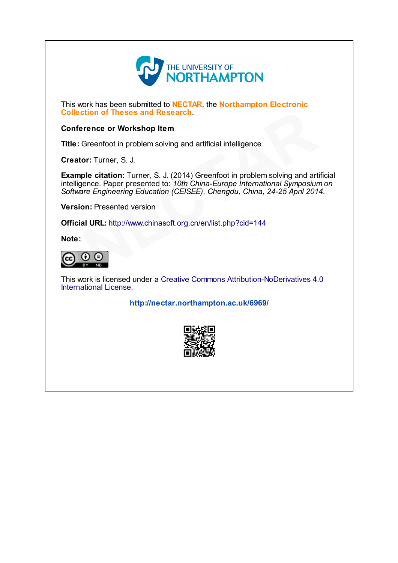

This work has been submitted to **NECTAR**, the **Northampton Electronic** Collection of Theses and Research.

#### Conference or Workshop Item

Title: Greenfoot in problem solving and artificial intelligence

Creator: Turner, S. J.

Example citation: Turner, S. J. (2014) Greenfoot in problem solving and artificial intelligence. Paper presented to: 10th China-Europe International Symposium on Software Engineering Education (CEISEE), Chengdu, China, 24-25 April 2014. **Example 18 [C](http://www.chinasoft.org.cn/en/list.php?cid=144)onstant Constant Constant Of Constant Of Constant Of Constant Of Constant Of Constant Constant Constant Constant Constant Constant Constant Constant Constant Constant Constant Constant Constant Constant Consta** 

Version: Presented version

Official URL: http://www.chinasoft.org.cn/en/list.php?cid=144

Note:



This work is licensed under a Creative Commons [Attribution-NoDerivatives](http://creativecommons.org/licenses/by-nd/4.0/) 4.0 International License.

<http://nectar.northampton.ac.uk/6969/>

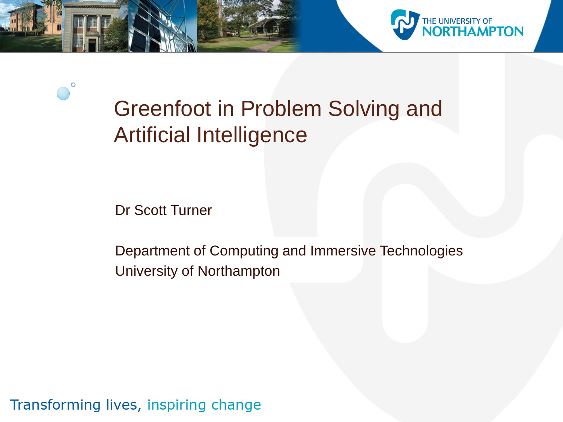

Greenfoot in Problem Solving and Artificial Intelligence

Dr Scott Turner

O

Department of Computing and Immersive Technologies University of Northampton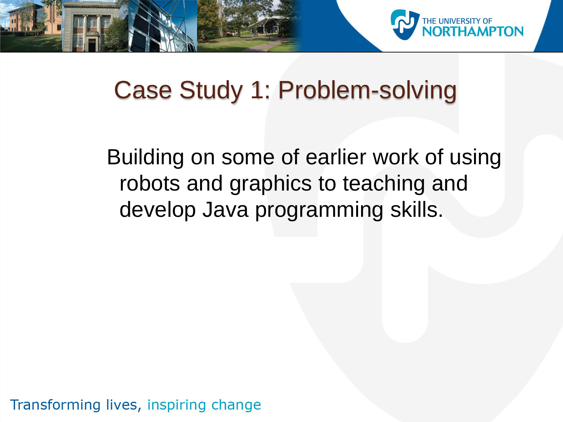

## Case Study 1: Problem-solving

Building on some of earlier work of using robots and graphics to teaching and develop Java programming skills.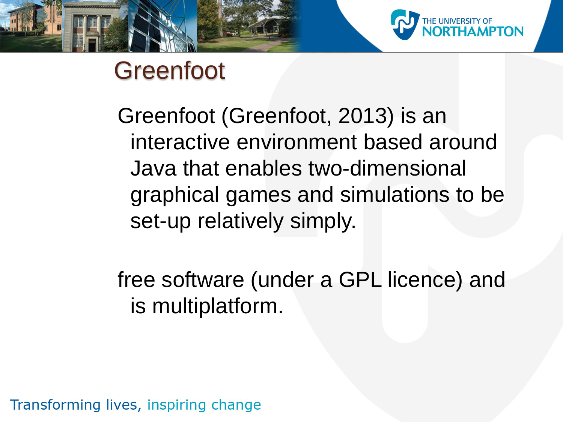

Greenfoot (Greenfoot, 2013) is an interactive environment based around Java that enables two-dimensional graphical games and simulations to be set-up relatively simply.

free software (under a GPL licence) and is multiplatform.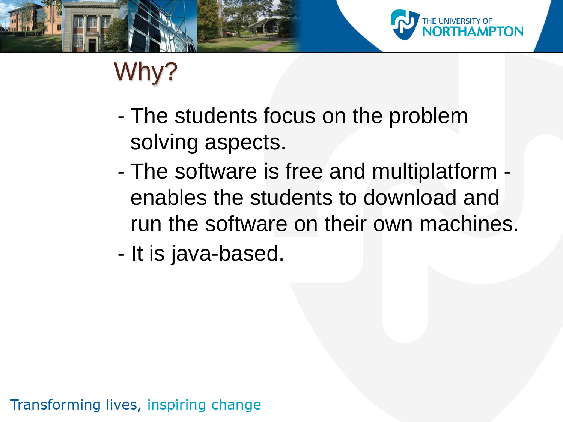

# Why?

- The students focus on the problem solving aspects.
- The software is free and multiplatform enables the students to download and run the software on their own machines.
- It is java-based.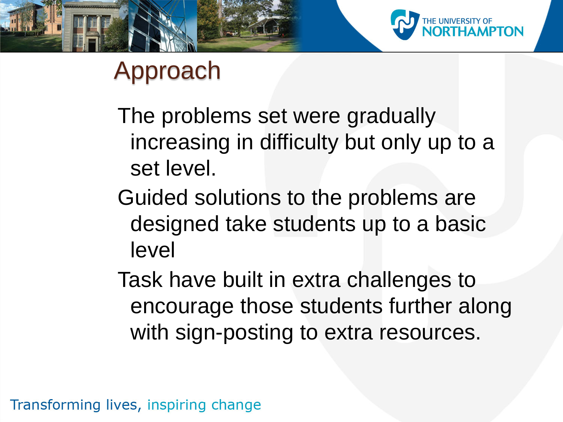

# Approach

The problems set were gradually increasing in difficulty but only up to a set level.

Guided solutions to the problems are designed take students up to a basic level

Task have built in extra challenges to encourage those students further along with sign-posting to extra resources.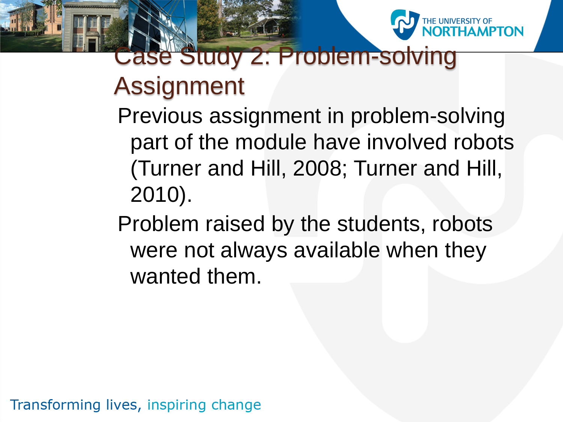

# Case Study 2: Problem-solving Assignment

Previous assignment in problem-solving part of the module have involved robots (Turner and Hill, 2008; Turner and Hill, 2010).

Problem raised by the students, robots were not always available when they wanted them.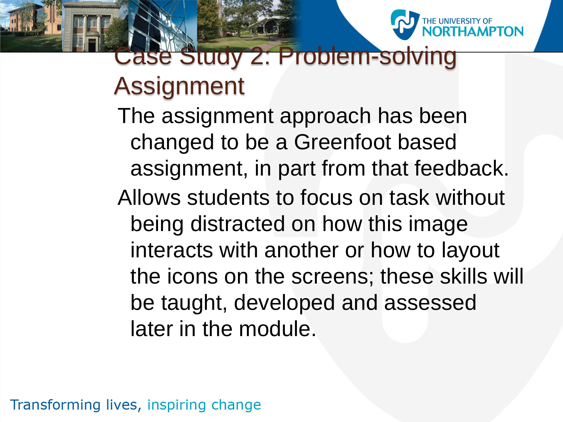

# Case Study 2: Problem-solving Assignment

The assignment approach has been changed to be a Greenfoot based assignment, in part from that feedback. Allows students to focus on task without being distracted on how this image interacts with another or how to layout the icons on the screens; these skills will be taught, developed and assessed later in the module.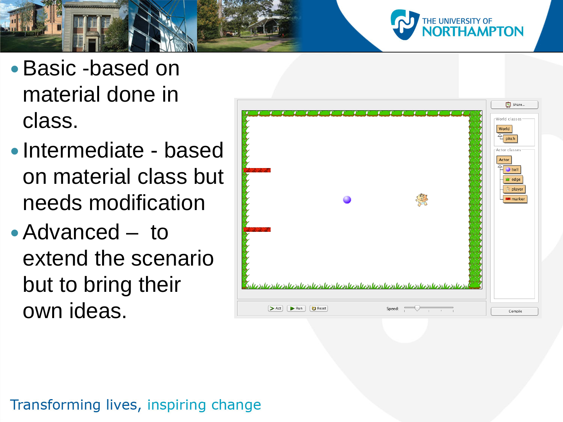

#### Basic -based on material done in class.

- Intermediate based on material class but needs modification
- Advanced to extend the scenario but to bring their own ideas.

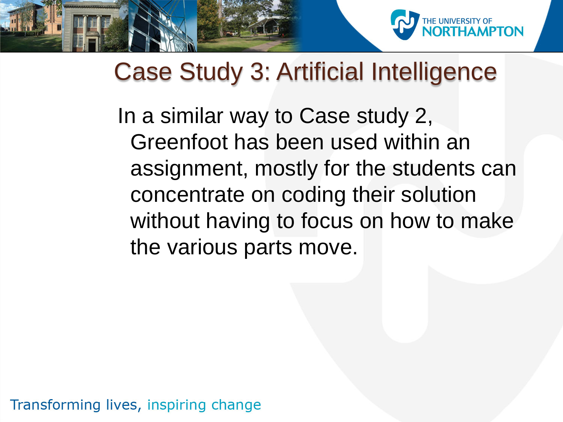

#### Case Study 3: Artificial Intelligence

In a similar way to Case study 2, Greenfoot has been used within an assignment, mostly for the students can concentrate on coding their solution without having to focus on how to make the various parts move.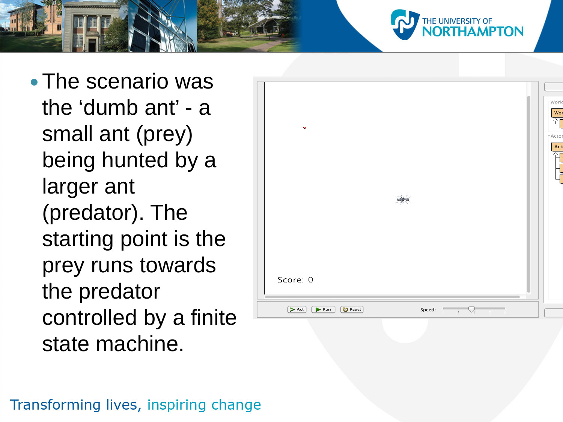



IE UNIVERSITY OF<br>**IORTHAMPTON**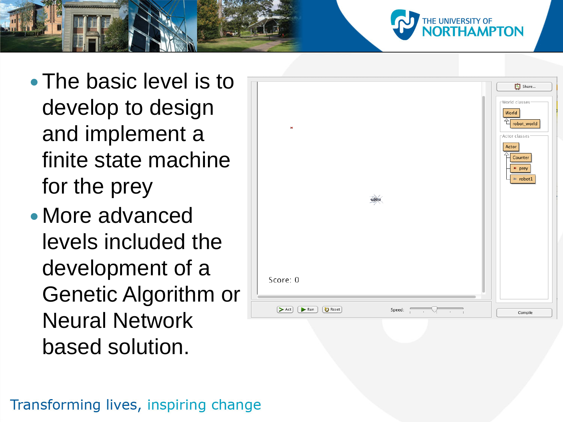- The basic level is to develop to design and implement a finite state machine for the prey
- More advanced levels included the development of a Genetic Algorithm or Neural Network based solution.